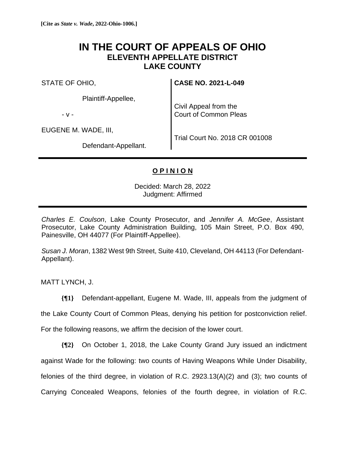## **IN THE COURT OF APPEALS OF OHIO ELEVENTH APPELLATE DISTRICT LAKE COUNTY**

STATE OF OHIO,

Plaintiff-Appellee,

- v -

EUGENE M. WADE, III,

**CASE NO. 2021-L-049**

Civil Appeal from the Court of Common Pleas

Defendant-Appellant.

Trial Court No. 2018 CR 001008

## **O P I N I O N**

Decided: March 28, 2022 Judgment: Affirmed

*Charles E. Coulson*, Lake County Prosecutor, and *Jennifer A. McGee*, Assistant Prosecutor, Lake County Administration Building, 105 Main Street, P.O. Box 490, Painesville, OH 44077 (For Plaintiff-Appellee).

*Susan J. Moran*, 1382 West 9th Street, Suite 410, Cleveland, OH 44113 (For Defendant-Appellant).

MATT LYNCH, J.

**{¶1}** Defendant-appellant, Eugene M. Wade, III, appeals from the judgment of

the Lake County Court of Common Pleas, denying his petition for postconviction relief.

For the following reasons, we affirm the decision of the lower court.

**{¶2}** On October 1, 2018, the Lake County Grand Jury issued an indictment against Wade for the following: two counts of Having Weapons While Under Disability, felonies of the third degree, in violation of R.C. 2923.13(A)(2) and (3); two counts of Carrying Concealed Weapons, felonies of the fourth degree, in violation of R.C.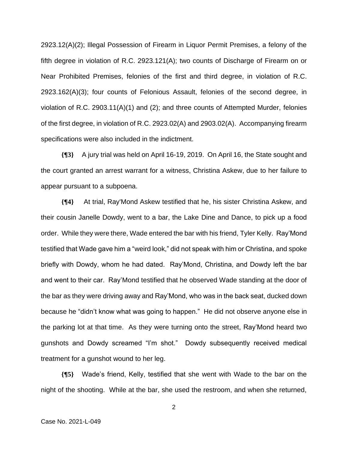2923.12(A)(2); Illegal Possession of Firearm in Liquor Permit Premises, a felony of the fifth degree in violation of R.C. 2923.121(A); two counts of Discharge of Firearm on or Near Prohibited Premises, felonies of the first and third degree, in violation of R.C. 2923.162(A)(3); four counts of Felonious Assault, felonies of the second degree, in violation of R.C. 2903.11(A)(1) and (2); and three counts of Attempted Murder, felonies of the first degree, in violation of R.C. 2923.02(A) and 2903.02(A). Accompanying firearm specifications were also included in the indictment.

**{¶3}** A jury trial was held on April 16-19, 2019. On April 16, the State sought and the court granted an arrest warrant for a witness, Christina Askew, due to her failure to appear pursuant to a subpoena.

**{¶4}** At trial, Ray'Mond Askew testified that he, his sister Christina Askew, and their cousin Janelle Dowdy, went to a bar, the Lake Dine and Dance, to pick up a food order. While they were there, Wade entered the bar with his friend, Tyler Kelly. Ray'Mond testified that Wade gave him a "weird look," did not speak with him or Christina, and spoke briefly with Dowdy, whom he had dated. Ray'Mond, Christina, and Dowdy left the bar and went to their car. Ray'Mond testified that he observed Wade standing at the door of the bar as they were driving away and Ray'Mond, who was in the back seat, ducked down because he "didn't know what was going to happen." He did not observe anyone else in the parking lot at that time. As they were turning onto the street, Ray'Mond heard two gunshots and Dowdy screamed "I'm shot." Dowdy subsequently received medical treatment for a gunshot wound to her leg.

**{¶5}** Wade's friend, Kelly, testified that she went with Wade to the bar on the night of the shooting. While at the bar, she used the restroom, and when she returned,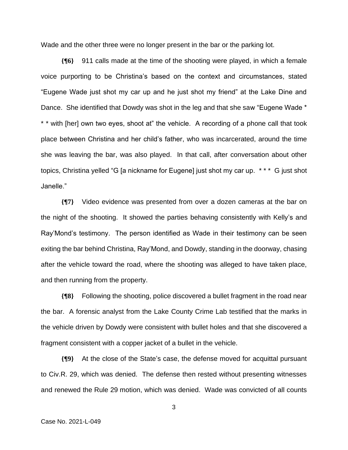Wade and the other three were no longer present in the bar or the parking lot.

**{¶6}** 911 calls made at the time of the shooting were played, in which a female voice purporting to be Christina's based on the context and circumstances, stated "Eugene Wade just shot my car up and he just shot my friend" at the Lake Dine and Dance. She identified that Dowdy was shot in the leg and that she saw "Eugene Wade \* \* \* with [her] own two eyes, shoot at" the vehicle. A recording of a phone call that took place between Christina and her child's father, who was incarcerated, around the time she was leaving the bar, was also played. In that call, after conversation about other topics, Christina yelled "G [a nickname for Eugene] just shot my car up. \* \* \* G just shot Janelle."

**{¶7}** Video evidence was presented from over a dozen cameras at the bar on the night of the shooting. It showed the parties behaving consistently with Kelly's and Ray'Mond's testimony. The person identified as Wade in their testimony can be seen exiting the bar behind Christina, Ray'Mond, and Dowdy, standing in the doorway, chasing after the vehicle toward the road, where the shooting was alleged to have taken place, and then running from the property.

**{¶8}** Following the shooting, police discovered a bullet fragment in the road near the bar. A forensic analyst from the Lake County Crime Lab testified that the marks in the vehicle driven by Dowdy were consistent with bullet holes and that she discovered a fragment consistent with a copper jacket of a bullet in the vehicle.

**{¶9}** At the close of the State's case, the defense moved for acquittal pursuant to Civ.R. 29, which was denied. The defense then rested without presenting witnesses and renewed the Rule 29 motion, which was denied. Wade was convicted of all counts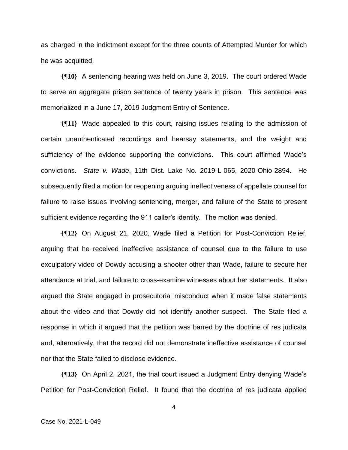as charged in the indictment except for the three counts of Attempted Murder for which he was acquitted.

**{¶10}** A sentencing hearing was held on June 3, 2019. The court ordered Wade to serve an aggregate prison sentence of twenty years in prison. This sentence was memorialized in a June 17, 2019 Judgment Entry of Sentence.

**{¶11}** Wade appealed to this court, raising issues relating to the admission of certain unauthenticated recordings and hearsay statements, and the weight and sufficiency of the evidence supporting the convictions. This court affirmed Wade's convictions. *State v. Wade*, 11th Dist. Lake No. 2019-L-065, 2020-Ohio-2894. He subsequently filed a motion for reopening arguing ineffectiveness of appellate counsel for failure to raise issues involving sentencing, merger, and failure of the State to present sufficient evidence regarding the 911 caller's identity. The motion was denied.

**{¶12}** On August 21, 2020, Wade filed a Petition for Post-Conviction Relief, arguing that he received ineffective assistance of counsel due to the failure to use exculpatory video of Dowdy accusing a shooter other than Wade, failure to secure her attendance at trial, and failure to cross-examine witnesses about her statements. It also argued the State engaged in prosecutorial misconduct when it made false statements about the video and that Dowdy did not identify another suspect. The State filed a response in which it argued that the petition was barred by the doctrine of res judicata and, alternatively, that the record did not demonstrate ineffective assistance of counsel nor that the State failed to disclose evidence.

**{¶13}** On April 2, 2021, the trial court issued a Judgment Entry denying Wade's Petition for Post-Conviction Relief. It found that the doctrine of res judicata applied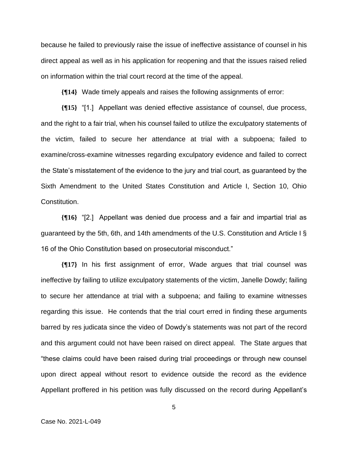because he failed to previously raise the issue of ineffective assistance of counsel in his direct appeal as well as in his application for reopening and that the issues raised relied on information within the trial court record at the time of the appeal.

**{¶14}** Wade timely appeals and raises the following assignments of error:

**{¶15}** "[1.] Appellant was denied effective assistance of counsel, due process, and the right to a fair trial, when his counsel failed to utilize the exculpatory statements of the victim, failed to secure her attendance at trial with a subpoena; failed to examine/cross-examine witnesses regarding exculpatory evidence and failed to correct the State's misstatement of the evidence to the jury and trial court, as guaranteed by the Sixth Amendment to the United States Constitution and Article I, Section 10, Ohio Constitution.

**{¶16}** "[2.] Appellant was denied due process and a fair and impartial trial as guaranteed by the 5th, 6th, and 14th amendments of the U.S. Constitution and Article I § 16 of the Ohio Constitution based on prosecutorial misconduct."

**{¶17}** In his first assignment of error, Wade argues that trial counsel was ineffective by failing to utilize exculpatory statements of the victim, Janelle Dowdy; failing to secure her attendance at trial with a subpoena; and failing to examine witnesses regarding this issue. He contends that the trial court erred in finding these arguments barred by res judicata since the video of Dowdy's statements was not part of the record and this argument could not have been raised on direct appeal. The State argues that "these claims could have been raised during trial proceedings or through new counsel upon direct appeal without resort to evidence outside the record as the evidence Appellant proffered in his petition was fully discussed on the record during Appellant's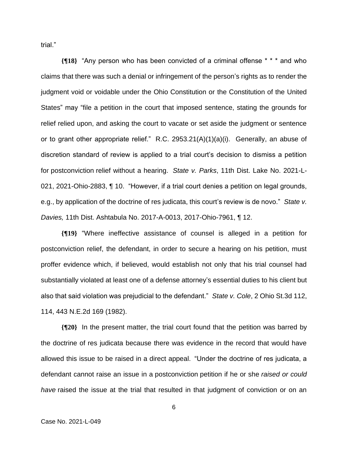trial."

**{¶18}** "Any person who has been convicted of a criminal offense \* \* \* and who claims that there was such a denial or infringement of the person's rights as to render the judgment void or voidable under the Ohio Constitution or the Constitution of the United States" may "file a petition in the court that imposed sentence, stating the grounds for relief relied upon, and asking the court to vacate or set aside the judgment or sentence or to grant other appropriate relief." R.C. 2953.21(A)(1)(a)(i). Generally, an abuse of discretion standard of review is applied to a trial court's decision to dismiss a petition for postconviction relief without a hearing. *State v. Parks*, 11th Dist. Lake No. 2021-L-021, 2021-Ohio-2883, ¶ 10. "However, if a trial court denies a petition on legal grounds, e.g., by application of the doctrine of res judicata, this court's review is de novo." *State v. Davies,* 11th Dist. Ashtabula No. 2017-A-0013, 2017-Ohio-7961, ¶ 12.

**{¶19}** "Where ineffective assistance of counsel is alleged in a petition for postconviction relief, the defendant, in order to secure a hearing on his petition, must proffer evidence which, if believed, would establish not only that his trial counsel had substantially violated at least one of a defense attorney's essential duties to his client but also that said violation was prejudicial to the defendant." *State v. Cole*, 2 Ohio St.3d 112, 114, 443 N.E.2d 169 (1982).

**{¶20}** In the present matter, the trial court found that the petition was barred by the doctrine of res judicata because there was evidence in the record that would have allowed this issue to be raised in a direct appeal. "Under the doctrine of res judicata, a defendant cannot raise an issue in a postconviction petition if he or she *raised or could have* raised the issue at the trial that resulted in that judgment of conviction or on an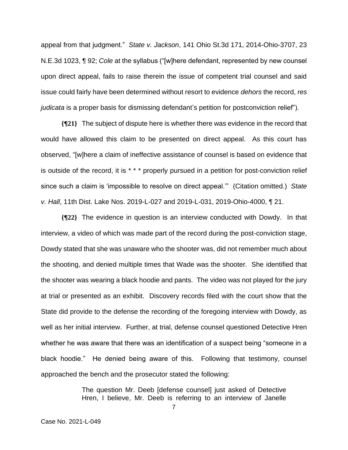appeal from that judgment." *State v. Jackson*, 141 Ohio St.3d 171, 2014-Ohio-3707, 23 N.E.3d 1023, ¶ 92; *Cole* at the syllabus ("[w]here defendant, represented by new counsel upon direct appeal, fails to raise therein the issue of competent trial counsel and said issue could fairly have been determined without resort to evidence *dehors* the record, *res judicata* is a proper basis for dismissing defendant's petition for postconviction relief").

**{¶21}** The subject of dispute here is whether there was evidence in the record that would have allowed this claim to be presented on direct appeal. As this court has observed, "[w]here a claim of ineffective assistance of counsel is based on evidence that is outside of the record, it is \* \* \* properly pursued in a petition for post-conviction relief since such a claim is 'impossible to resolve on direct appeal.'" (Citation omitted.) *State v. Hall*, 11th Dist. Lake Nos. 2019-L-027 and 2019-L-031, 2019-Ohio-4000, ¶ 21.

**{¶22}** The evidence in question is an interview conducted with Dowdy. In that interview, a video of which was made part of the record during the post-conviction stage, Dowdy stated that she was unaware who the shooter was, did not remember much about the shooting, and denied multiple times that Wade was the shooter. She identified that the shooter was wearing a black hoodie and pants. The video was not played for the jury at trial or presented as an exhibit. Discovery records filed with the court show that the State did provide to the defense the recording of the foregoing interview with Dowdy, as well as her initial interview. Further, at trial, defense counsel questioned Detective Hren whether he was aware that there was an identification of a suspect being "someone in a black hoodie." He denied being aware of this. Following that testimony, counsel approached the bench and the prosecutor stated the following:

> The question Mr. Deeb [defense counsel] just asked of Detective Hren, I believe, Mr. Deeb is referring to an interview of Janelle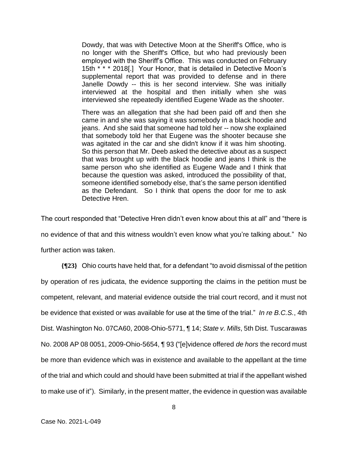Dowdy, that was with Detective Moon at the Sheriff's Office, who is no longer with the Sheriff's Office, but who had previously been employed with the Sheriff's Office. This was conducted on February 15th \* \* \* 2018[.] Your Honor, that is detailed in Detective Moon's supplemental report that was provided to defense and in there Janelle Dowdy -- this is her second interview. She was initially interviewed at the hospital and then initially when she was interviewed she repeatedly identified Eugene Wade as the shooter.

There was an allegation that she had been paid off and then she came in and she was saying it was somebody in a black hoodie and jeans. And she said that someone had told her -- now she explained that somebody told her that Eugene was the shooter because she was agitated in the car and she didn't know if it was him shooting. So this person that Mr. Deeb asked the detective about as a suspect that was brought up with the black hoodie and jeans I think is the same person who she identified as Eugene Wade and I think that because the question was asked, introduced the possibility of that, someone identified somebody else, that's the same person identified as the Defendant. So I think that opens the door for me to ask Detective Hren.

The court responded that "Detective Hren didn't even know about this at all" and "there is no evidence of that and this witness wouldn't even know what you're talking about." No further action was taken.

**{¶23}** Ohio courts have held that, for a defendant "to avoid dismissal of the petition by operation of res judicata, the evidence supporting the claims in the petition must be competent, relevant, and material evidence outside the trial court record, and it must not be evidence that existed or was available for use at the time of the trial." *In re B.C.S.*, 4th Dist. Washington No. 07CA60, 2008-Ohio-5771, ¶ 14; *State v. Mills*, 5th Dist. Tuscarawas No. 2008 AP 08 0051, 2009-Ohio-5654, ¶ 93 ("[e]vidence offered *de hors* the record must be more than evidence which was in existence and available to the appellant at the time of the trial and which could and should have been submitted at trial if the appellant wished to make use of it"). Similarly, in the present matter, the evidence in question was available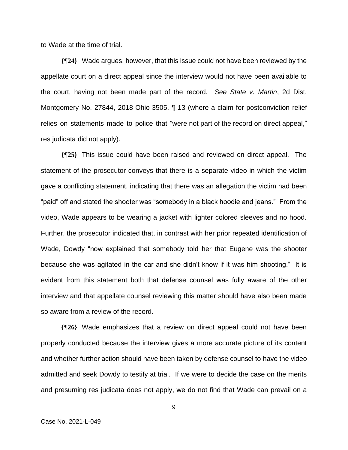to Wade at the time of trial.

**{¶24}** Wade argues, however, that this issue could not have been reviewed by the appellate court on a direct appeal since the interview would not have been available to the court, having not been made part of the record. *See State v. Martin*, 2d Dist. Montgomery No. 27844, 2018-Ohio-3505, ¶ 13 (where a claim for postconviction relief relies on statements made to police that "were not part of the record on direct appeal," res judicata did not apply).

**{¶25}** This issue could have been raised and reviewed on direct appeal. The statement of the prosecutor conveys that there is a separate video in which the victim gave a conflicting statement, indicating that there was an allegation the victim had been "paid" off and stated the shooter was "somebody in a black hoodie and jeans." From the video, Wade appears to be wearing a jacket with lighter colored sleeves and no hood. Further, the prosecutor indicated that, in contrast with her prior repeated identification of Wade, Dowdy "now explained that somebody told her that Eugene was the shooter because she was agitated in the car and she didn't know if it was him shooting." It is evident from this statement both that defense counsel was fully aware of the other interview and that appellate counsel reviewing this matter should have also been made so aware from a review of the record.

**{¶26}** Wade emphasizes that a review on direct appeal could not have been properly conducted because the interview gives a more accurate picture of its content and whether further action should have been taken by defense counsel to have the video admitted and seek Dowdy to testify at trial. If we were to decide the case on the merits and presuming res judicata does not apply, we do not find that Wade can prevail on a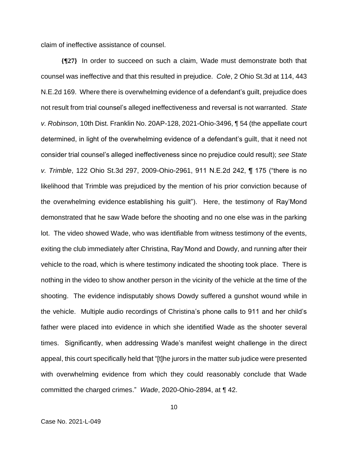claim of ineffective assistance of counsel.

**{¶27}** In order to succeed on such a claim, Wade must demonstrate both that counsel was ineffective and that this resulted in prejudice. *Cole*, 2 Ohio St.3d at 114, 443 N.E.2d 169. Where there is overwhelming evidence of a defendant's guilt, prejudice does not result from trial counsel's alleged ineffectiveness and reversal is not warranted. *State v. Robinson*, 10th Dist. Franklin No. 20AP-128, 2021-Ohio-3496, ¶ 54 (the appellate court determined, in light of the overwhelming evidence of a defendant's guilt, that it need not consider trial counsel's alleged ineffectiveness since no prejudice could result); *see State v. Trimble*, 122 Ohio St.3d 297, 2009-Ohio-2961, 911 N.E.2d 242, ¶ 175 ("there is no likelihood that Trimble was prejudiced by the mention of his prior conviction because of the overwhelming evidence establishing his guilt"). Here, the testimony of Ray'Mond demonstrated that he saw Wade before the shooting and no one else was in the parking lot. The video showed Wade, who was identifiable from witness testimony of the events, exiting the club immediately after Christina, Ray'Mond and Dowdy, and running after their vehicle to the road, which is where testimony indicated the shooting took place. There is nothing in the video to show another person in the vicinity of the vehicle at the time of the shooting. The evidence indisputably shows Dowdy suffered a gunshot wound while in the vehicle. Multiple audio recordings of Christina's phone calls to 911 and her child's father were placed into evidence in which she identified Wade as the shooter several times. Significantly, when addressing Wade's manifest weight challenge in the direct appeal, this court specifically held that "[t]he jurors in the matter sub judice were presented with overwhelming evidence from which they could reasonably conclude that Wade committed the charged crimes." *Wade*, 2020-Ohio-2894, at ¶ 42.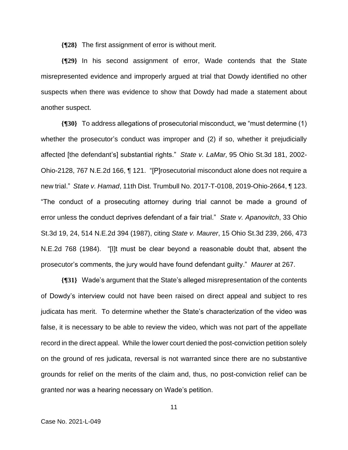**{¶28}** The first assignment of error is without merit.

**{¶29}** In his second assignment of error, Wade contends that the State misrepresented evidence and improperly argued at trial that Dowdy identified no other suspects when there was evidence to show that Dowdy had made a statement about another suspect.

**{¶30}** To address allegations of prosecutorial misconduct, we "must determine (1) whether the prosecutor's conduct was improper and (2) if so, whether it prejudicially affected [the defendant's] substantial rights." *State v. LaMar,* 95 Ohio St.3d 181, 2002- Ohio-2128, 767 N.E.2d 166, ¶ 121. "[P]rosecutorial misconduct alone does not require a new trial." *State v. Hamad*, 11th Dist. Trumbull No. 2017-T-0108, 2019-Ohio-2664, ¶ 123. "The conduct of a prosecuting attorney during trial cannot be made a ground of error unless the conduct deprives defendant of a fair trial." *State v. Apanovitch*, 33 Ohio St.3d 19, 24, 514 N.E.2d 394 (1987), citing *State v. Maurer*, 15 Ohio St.3d 239, 266, 473 N.E.2d 768 (1984). "[I]t must be clear beyond a reasonable doubt that, absent the prosecutor's comments, the jury would have found defendant guilty." *Maurer* at 267.

**{¶31}** Wade's argument that the State's alleged misrepresentation of the contents of Dowdy's interview could not have been raised on direct appeal and subject to res judicata has merit. To determine whether the State's characterization of the video was false, it is necessary to be able to review the video, which was not part of the appellate record in the direct appeal. While the lower court denied the post-conviction petition solely on the ground of res judicata, reversal is not warranted since there are no substantive grounds for relief on the merits of the claim and, thus, no post-conviction relief can be granted nor was a hearing necessary on Wade's petition.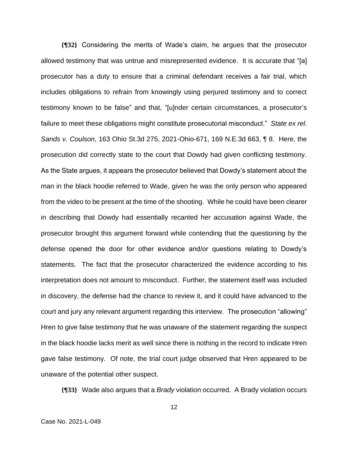**{¶32}** Considering the merits of Wade's claim, he argues that the prosecutor allowed testimony that was untrue and misrepresented evidence. It is accurate that "[a] prosecutor has a duty to ensure that a criminal defendant receives a fair trial, which includes obligations to refrain from knowingly using perjured testimony and to correct testimony known to be false" and that, "[u]nder certain circumstances, a prosecutor's failure to meet these obligations might constitute prosecutorial misconduct." *State ex rel. Sands v. Coulson*, 163 Ohio St.3d 275, 2021-Ohio-671, 169 N.E.3d 663, ¶ 8. Here, the prosecution did correctly state to the court that Dowdy had given conflicting testimony. As the State argues, it appears the prosecutor believed that Dowdy's statement about the man in the black hoodie referred to Wade, given he was the only person who appeared from the video to be present at the time of the shooting. While he could have been clearer in describing that Dowdy had essentially recanted her accusation against Wade, the prosecutor brought this argument forward while contending that the questioning by the defense opened the door for other evidence and/or questions relating to Dowdy's statements. The fact that the prosecutor characterized the evidence according to his interpretation does not amount to misconduct. Further, the statement itself was included in discovery, the defense had the chance to review it, and it could have advanced to the court and jury any relevant argument regarding this interview. The prosecution "allowing" Hren to give false testimony that he was unaware of the statement regarding the suspect in the black hoodie lacks merit as well since there is nothing in the record to indicate Hren gave false testimony. Of note, the trial court judge observed that Hren appeared to be unaware of the potential other suspect.

**{¶33}** Wade also argues that a *Brady* violation occurred. A Brady violation occurs